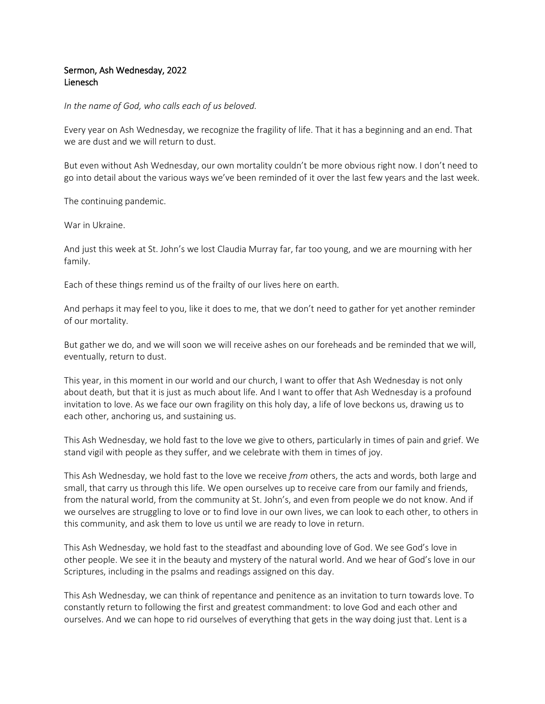## Sermon, Ash Wednesday, 2022 Lienesch

*In the name of God, who calls each of us beloved.* 

Every year on Ash Wednesday, we recognize the fragility of life. That it has a beginning and an end. That we are dust and we will return to dust.

But even without Ash Wednesday, our own mortality couldn't be more obvious right now. I don't need to go into detail about the various ways we've been reminded of it over the last few years and the last week.

The continuing pandemic.

War in Ukraine.

And just this week at St. John's we lost Claudia Murray far, far too young, and we are mourning with her family.

Each of these things remind us of the frailty of our lives here on earth.

And perhaps it may feel to you, like it does to me, that we don't need to gather for yet another reminder of our mortality.

But gather we do, and we will soon we will receive ashes on our foreheads and be reminded that we will, eventually, return to dust.

This year, in this moment in our world and our church, I want to offer that Ash Wednesday is not only about death, but that it is just as much about life. And I want to offer that Ash Wednesday is a profound invitation to love. As we face our own fragility on this holy day, a life of love beckons us, drawing us to each other, anchoring us, and sustaining us.

This Ash Wednesday, we hold fast to the love we give to others, particularly in times of pain and grief. We stand vigil with people as they suffer, and we celebrate with them in times of joy.

This Ash Wednesday, we hold fast to the love we receive *from* others, the acts and words, both large and small, that carry us through this life. We open ourselves up to receive care from our family and friends, from the natural world, from the community at St. John's, and even from people we do not know. And if we ourselves are struggling to love or to find love in our own lives, we can look to each other, to others in this community, and ask them to love us until we are ready to love in return.

This Ash Wednesday, we hold fast to the steadfast and abounding love of God. We see God's love in other people. We see it in the beauty and mystery of the natural world. And we hear of God's love in our Scriptures, including in the psalms and readings assigned on this day.

This Ash Wednesday, we can think of repentance and penitence as an invitation to turn towards love. To constantly return to following the first and greatest commandment: to love God and each other and ourselves. And we can hope to rid ourselves of everything that gets in the way doing just that. Lent is a